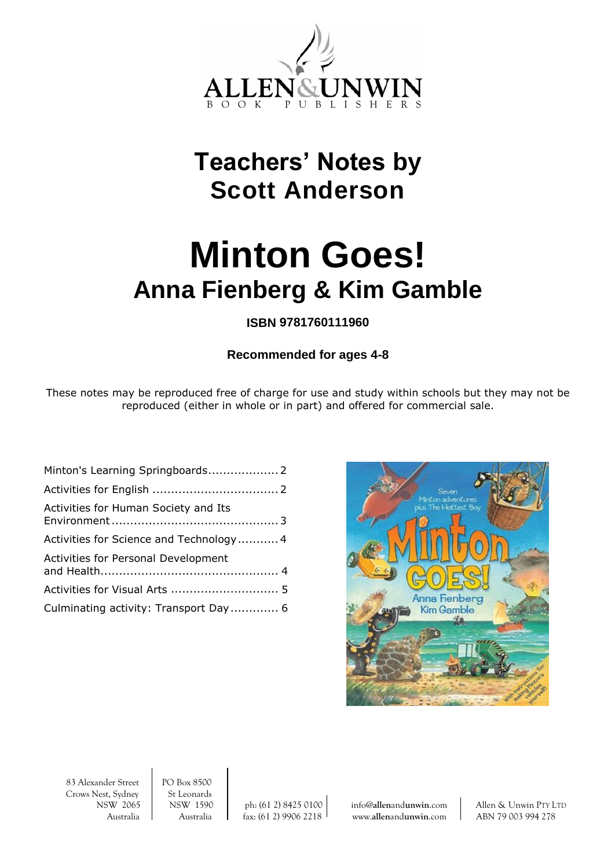

## **Teachers' Notes by Scott Anderson**

# **Minton Goes! Anna Fienberg & Kim Gamble**

## **ISBN 9781760111960**

## **Recommended for ages 4-8**

These notes may be reproduced free of charge for use and study within schools but they may not be reproduced (either in whole or in part) and offered for commercial sale.

| Activities for Human Society and Its       |  |
|--------------------------------------------|--|
| Activities for Science and Technology 4    |  |
| <b>Activities for Personal Development</b> |  |
|                                            |  |
| Culminating activity: Transport Day 6      |  |



83 Alexander Street PO Box 8500<br>Crows Nest, Sydney St Leonards Crows Nest, Sydney

NSW 2065 NSW 1590 ph: (61 2) 8425 0100 info@**allen**and**[unwin](mailto:info@allenandunwin.com)**.com Allen & Unwin PTY LTD Australia Australia fax: (61 2) 9906 2218 www.**allen**and**[unwin](http://www.allenandunwin.com/)**.com ABN 79 003 994 278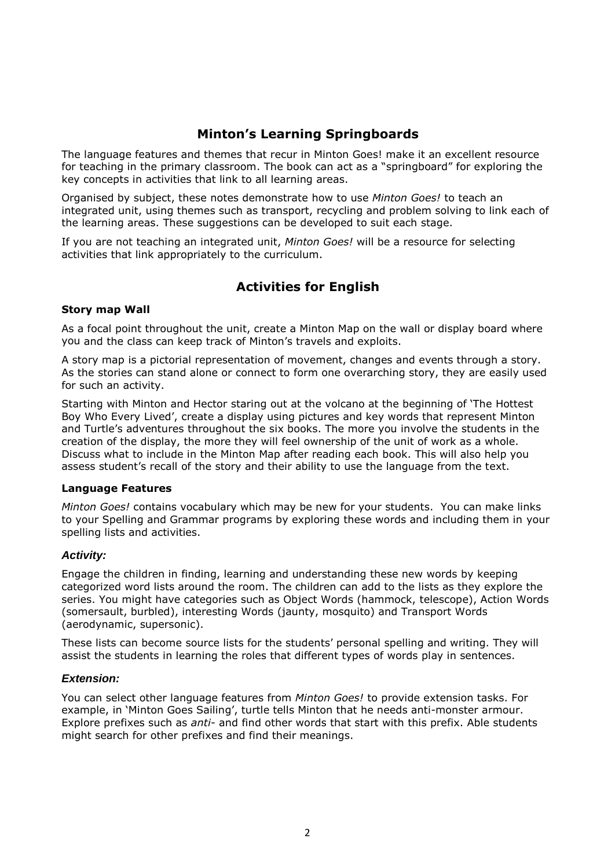## **Minton's Learning Springboards**

The language features and themes that recur in Minton Goes! make it an excellent resource for teaching in the primary classroom. The book can act as a "springboard" for exploring the key concepts in activities that link to all learning areas.

Organised by subject, these notes demonstrate how to use *Minton Goes!* to teach an integrated unit, using themes such as transport, recycling and problem solving to link each of the learning areas. These suggestions can be developed to suit each stage.

If you are not teaching an integrated unit, *Minton Goes!* will be a resource for selecting activities that link appropriately to the curriculum.

## **Activities for English**

#### **Story map Wall**

As a focal point throughout the unit, create a Minton Map on the wall or display board where you and the class can keep track of Minton's travels and exploits.

A story map is a pictorial representation of movement, changes and events through a story. As the stories can stand alone or connect to form one overarching story, they are easily used for such an activity.

Starting with Minton and Hector staring out at the volcano at the beginning of 'The Hottest Boy Who Every Lived', create a display using pictures and key words that represent Minton and Turtle's adventures throughout the six books. The more you involve the students in the creation of the display, the more they will feel ownership of the unit of work as a whole. Discuss what to include in the Minton Map after reading each book. This will also help you assess student's recall of the story and their ability to use the language from the text.

#### **Language Features**

*Minton Goes!* contains vocabulary which may be new for your students. You can make links to your Spelling and Grammar programs by exploring these words and including them in your spelling lists and activities.

#### *Activity:*

Engage the children in finding, learning and understanding these new words by keeping categorized word lists around the room. The children can add to the lists as they explore the series. You might have categories such as Object Words (hammock, telescope), Action Words (somersault, burbled), interesting Words (jaunty, mosquito) and Transport Words (aerodynamic, supersonic).

These lists can become source lists for the students' personal spelling and writing. They will assist the students in learning the roles that different types of words play in sentences.

#### *Extension:*

You can select other language features from *Minton Goes!* to provide extension tasks. For example, in 'Minton Goes Sailing', turtle tells Minton that he needs anti-monster armour. Explore prefixes such as *anti-* and find other words that start with this prefix. Able students might search for other prefixes and find their meanings.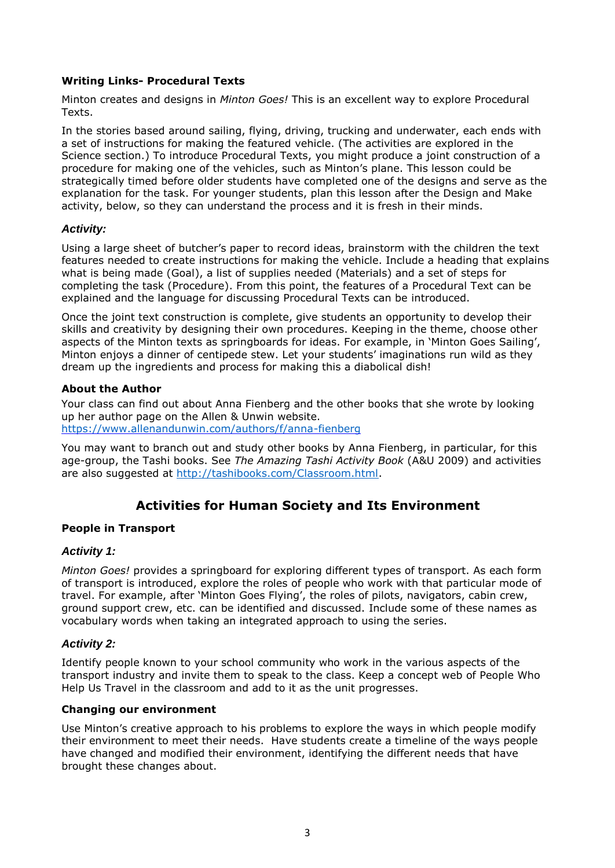#### **Writing Links- Procedural Texts**

Minton creates and designs in *Minton Goes!* This is an excellent way to explore Procedural Texts.

In the stories based around sailing, flying, driving, trucking and underwater, each ends with a set of instructions for making the featured vehicle. (The activities are explored in the Science section.) To introduce Procedural Texts, you might produce a joint construction of a procedure for making one of the vehicles, such as Minton's plane. This lesson could be strategically timed before older students have completed one of the designs and serve as the explanation for the task. For younger students, plan this lesson after the Design and Make activity, below, so they can understand the process and it is fresh in their minds.

#### *Activity:*

Using a large sheet of butcher's paper to record ideas, brainstorm with the children the text features needed to create instructions for making the vehicle. Include a heading that explains what is being made (Goal), a list of supplies needed (Materials) and a set of steps for completing the task (Procedure). From this point, the features of a Procedural Text can be explained and the language for discussing Procedural Texts can be introduced.

Once the joint text construction is complete, give students an opportunity to develop their skills and creativity by designing their own procedures. Keeping in the theme, choose other aspects of the Minton texts as springboards for ideas. For example, in 'Minton Goes Sailing', Minton enjoys a dinner of centipede stew. Let your students' imaginations run wild as they dream up the ingredients and process for making this a diabolical dish!

#### **About the Author**

Your class can find out about Anna Fienberg and the other books that she wrote by looking up her author page on the Allen & Unwin website. <https://www.allenandunwin.com/authors/f/anna-fienberg>

You may want to branch out and study other books by Anna Fienberg, in particular, for this age-group, the Tashi books. See *The Amazing Tashi Activity Book* (A&U 2009) and activities are also suggested at [http://tashibooks.com/Classroom.html.](http://tashibooks.com/Classroom.html)

## **Activities for Human Society and Its Environment**

#### **People in Transport**

#### *Activity 1:*

*Minton Goes!* provides a springboard for exploring different types of transport. As each form of transport is introduced, explore the roles of people who work with that particular mode of travel. For example, after 'Minton Goes Flying', the roles of pilots, navigators, cabin crew, ground support crew, etc. can be identified and discussed. Include some of these names as vocabulary words when taking an integrated approach to using the series.

#### *Activity 2:*

Identify people known to your school community who work in the various aspects of the transport industry and invite them to speak to the class. Keep a concept web of People Who Help Us Travel in the classroom and add to it as the unit progresses.

#### **Changing our environment**

Use Minton's creative approach to his problems to explore the ways in which people modify their environment to meet their needs. Have students create a timeline of the ways people have changed and modified their environment, identifying the different needs that have brought these changes about.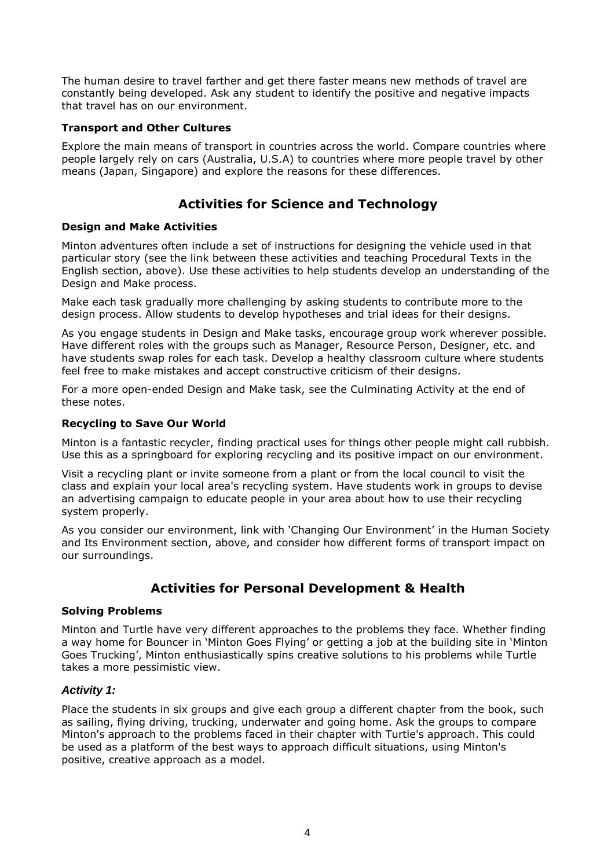The human desire to travel farther and get there faster means new methods of travel are constantly being developed. Ask any student to identify the positive and negative impacts that travel has on our environment.

#### **Transport and Other Cultures**

Explore the main means of transport in countries across the world. Compare countries where people largely rely on cars (Australia, U.S.A) to countries where more people travel by other means (Japan, Singapore) and explore the reasons for these differences.

## **Activities for Science and Technology**

#### **Design and Make Activities**

Minton adventures often include a set of instructions for designing the vehicle used in that particular story (see the link between these activities and teaching Procedural Texts in the English section, above). Use these activities to help students develop an understanding of the Design and Make process.

Make each task gradually more challenging by asking students to contribute more to the design process. Allow students to develop hypotheses and trial ideas for their designs.

As you engage students in Design and Make tasks, encourage group work wherever possible. Have different roles with the groups such as Manager, Resource Person, Designer, etc. and have students swap roles for each task. Develop a healthy classroom culture where students feel free to make mistakes and accept constructive criticism of their designs.

For a more open-ended Design and Make task, see the Culminating Activity at the end of these notes.

#### **Recycling to Save Our World**

Minton is a fantastic recycler, finding practical uses for things other people might call rubbish. Use this as a springboard for exploring recycling and its positive impact on our environment.

Visit a recycling plant or invite someone from a plant or from the local council to visit the class and explain your local area's recycling system. Have students work in groups to devise an advertising campaign to educate people in your area about how to use their recycling system properly.

As you consider our environment, link with 'Changing Our Environment' in the Human Society and Its Environment section, above, and consider how different forms of transport impact on our surroundings.

## **Activities for Personal Development & Health**

#### **Solving Problems**

Minton and Turtle have very different approaches to the problems they face. Whether finding a way home for Bouncer in 'Minton Goes Flying' or getting a job at the building site in 'Minton Goes Trucking', Minton enthusiastically spins creative solutions to his problems while Turtle takes a more pessimistic view.

#### *Activity 1:*

Place the students in six groups and give each group a different chapter from the book, such as sailing, flying driving, trucking, underwater and going home. Ask the groups to compare Minton's approach to the problems faced in their chapter with Turtle's approach. This could be used as a platform of the best ways to approach difficult situations, using Minton's positive, creative approach as a model.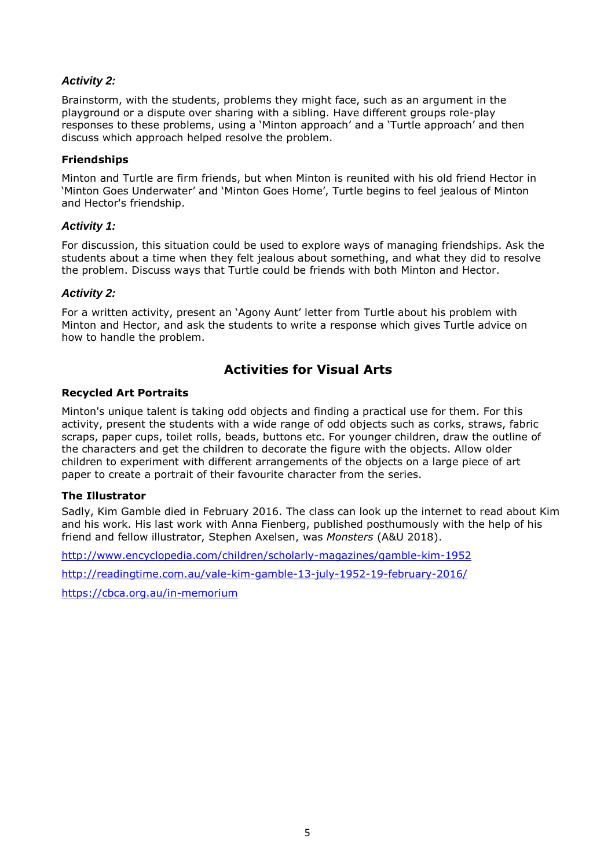#### *Activity 2:*

Brainstorm, with the students, problems they might face, such as an argument in the playground or a dispute over sharing with a sibling. Have different groups role-play responses to these problems, using a 'Minton approach' and a 'Turtle approach' and then discuss which approach helped resolve the problem.

#### **Friendships**

Minton and Turtle are firm friends, but when Minton is reunited with his old friend Hector in 'Minton Goes Underwater' and 'Minton Goes Home', Turtle begins to feel jealous of Minton and Hector's friendship.

#### *Activity 1:*

For discussion, this situation could be used to explore ways of managing friendships. Ask the students about a time when they felt jealous about something, and what they did to resolve the problem. Discuss ways that Turtle could be friends with both Minton and Hector.

#### *Activity 2:*

For a written activity, present an 'Agony Aunt' letter from Turtle about his problem with Minton and Hector, and ask the students to write a response which gives Turtle advice on how to handle the problem.

## **Activities for Visual Arts**

#### **Recycled Art Portraits**

Minton's unique talent is taking odd objects and finding a practical use for them. For this activity, present the students with a wide range of odd objects such as corks, straws, fabric scraps, paper cups, toilet rolls, beads, buttons etc. For younger children, draw the outline of the characters and get the children to decorate the figure with the objects. Allow older children to experiment with different arrangements of the objects on a large piece of art paper to create a portrait of their favourite character from the series.

#### **The Illustrator**

Sadly, Kim Gamble died in February 2016. The class can look up the internet to read about Kim and his work. His last work with Anna Fienberg, published posthumously with the help of his friend and fellow illustrator, Stephen Axelsen, was *Monsters* (A&U 2018).

<http://www.encyclopedia.com/children/scholarly-magazines/gamble-kim-1952>

<http://readingtime.com.au/vale-kim-gamble-13-july-1952-19-february-2016/>

<https://cbca.org.au/in-memorium>